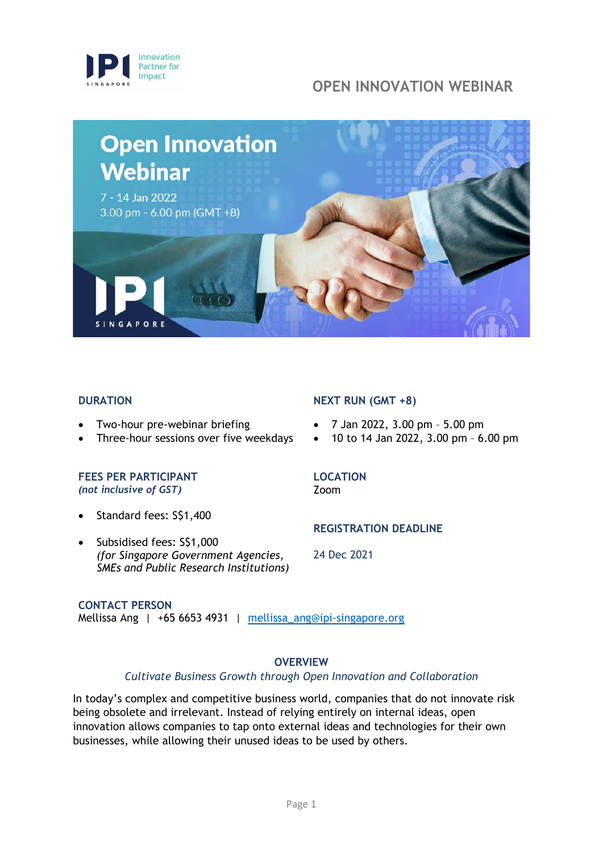



#### **DURATION**

- Two-hour pre-webinar briefing
- Three-hour sessions over five weekdays

#### **FEES PER PARTICIPANT**  *(not inclusive of GST)*

- Standard fees: S\$1,400
- Subsidised fees: S\$1,000 *(for Singapore Government Agencies, SMEs and Public Research Institutions)*

#### **NEXT RUN (GMT +8)**

- 7 Jan 2022, 3.00 pm 5.00 pm
- 10 to 14 Jan 2022, 3.00 pm 6.00 pm

#### **LOCATION**

Zoom

#### **REGISTRATION DEADLINE**

24 Dec 2021

**CONTACT PERSON** Mellissa Ang | +65 6653 4931 | [mellissa\\_ang@ipi-singapore.org](mailto:mellissa_ang@ipi-singapore.org)

#### **OVERVIEW**

#### *Cultivate Business Growth through Open Innovation and Collaboration*

In today's complex and competitive business world, companies that do not innovate risk being obsolete and irrelevant. Instead of relying entirely on internal ideas, open innovation allows companies to tap onto external ideas and technologies for their own businesses, while allowing their unused ideas to be used by others.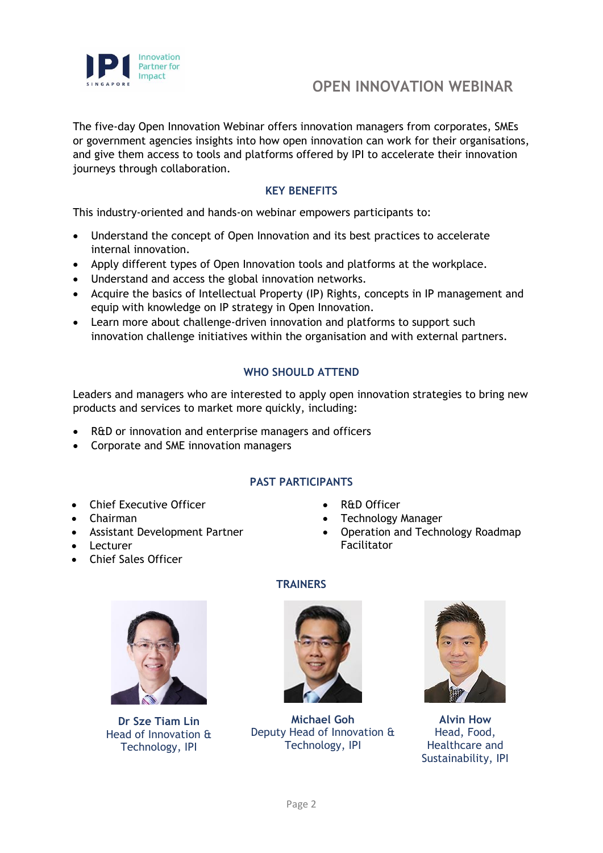

The five-day Open Innovation Webinar offers innovation managers from corporates, SMEs or government agencies insights into how open innovation can work for their organisations, and give them access to tools and platforms offered by IPI to accelerate their innovation journeys through collaboration.

## **KEY BENEFITS**

This industry-oriented and hands-on webinar empowers participants to:

- Understand the concept of Open Innovation and its best practices to accelerate internal innovation.
- Apply different types of Open Innovation tools and platforms at the workplace.
- Understand and access the global innovation networks.
- Acquire the basics of Intellectual Property (IP) Rights, concepts in IP management and equip with knowledge on IP strategy in Open Innovation.
- Learn more about challenge-driven innovation and platforms to support such innovation challenge initiatives within the organisation and with external partners.

# **WHO SHOULD ATTEND**

Leaders and managers who are interested to apply open innovation strategies to bring new products and services to market more quickly, including:

- R&D or innovation and enterprise managers and officers
- Corporate and SME innovation managers

# **PAST PARTICIPANTS**

- Chief Executive Officer
- Chairman
- Assistant Development Partner
- Lecturer
- Chief Sales Officer
- **R&D Officer**
- Technology Manager
- Operation and Technology Roadmap Facilitator



**Dr Sze Tiam Lin** Head of Innovation & Technology, IPI

# **TRAINERS**



**Michael Goh** Deputy Head of Innovation & Technology, IPI



**Alvin How** Head, Food, Healthcare and Sustainability, IPI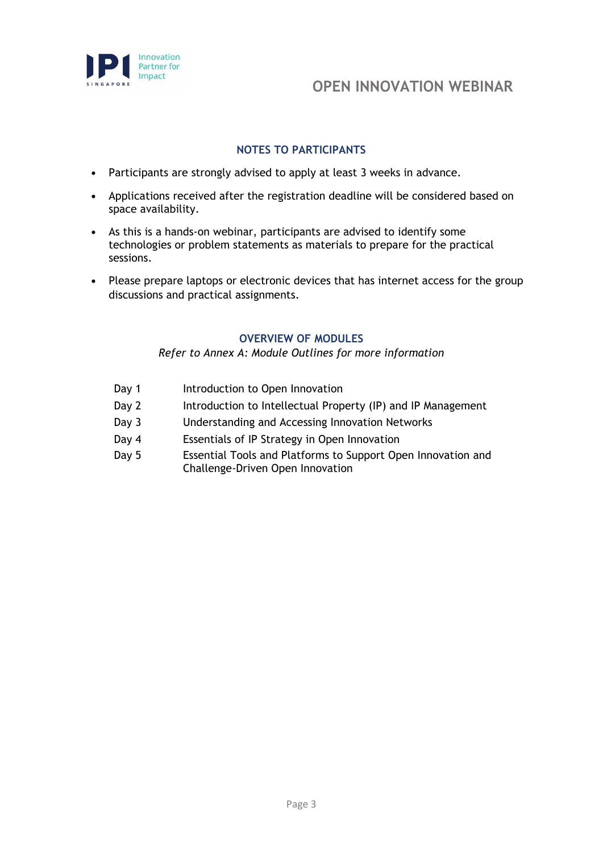

## **NOTES TO PARTICIPANTS**

- **•** Participants are strongly advised to apply at least 3 weeks in advance.
- **•** Applications received after the registration deadline will be considered based on space availability.
- **•** As this is a hands-on webinar, participants are advised to identify some technologies or problem statements as materials to prepare for the practical sessions.
- **•** Please prepare laptops or electronic devices that has internet access for the group discussions and practical assignments.

## **OVERVIEW OF MODULES**

*Refer to Annex A: Module Outlines for more information*

- Day 1 Introduction to Open Innovation
- Day 2 Introduction to Intellectual Property (IP) and IP Management
- Day 3 Understanding and Accessing Innovation Networks
- Day 4 Essentials of IP Strategy in Open Innovation
- Day 5 Essential Tools and Platforms to Support Open Innovation and Challenge-Driven Open Innovation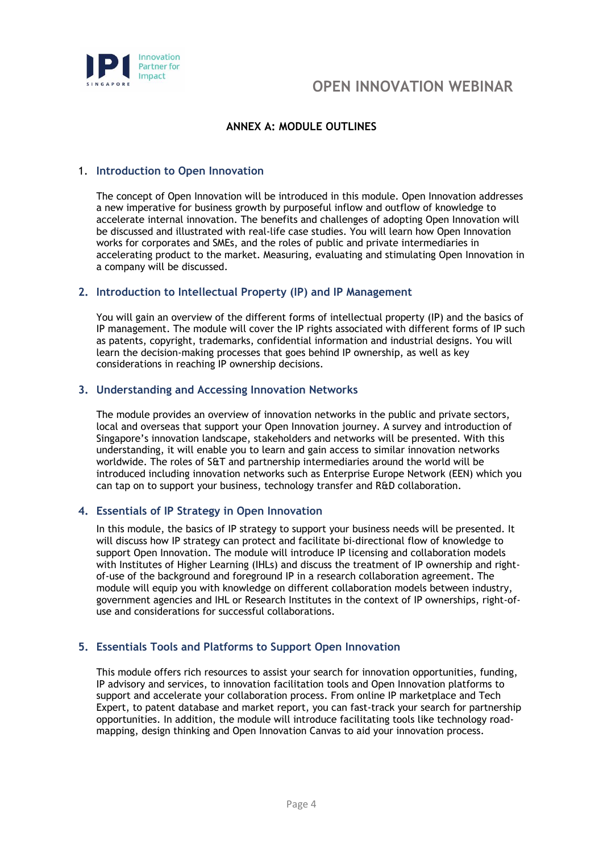

## **ANNEX A: MODULE OUTLINES**

#### 1. **Introduction to Open Innovation**

The concept of Open Innovation will be introduced in this module. Open Innovation addresses a new imperative for business growth by purposeful inflow and outflow of knowledge to accelerate internal innovation. The benefits and challenges of adopting Open Innovation will be discussed and illustrated with real-life case studies. You will learn how Open Innovation works for corporates and SMEs, and the roles of public and private intermediaries in accelerating product to the market. Measuring, evaluating and stimulating Open Innovation in a company will be discussed.

#### **2. Introduction to Intellectual Property (IP) and IP Management**

You will gain an overview of the different forms of intellectual property (IP) and the basics of IP management. The module will cover the IP rights associated with different forms of IP such as patents, copyright, trademarks, confidential information and industrial designs. You will learn the decision-making processes that goes behind IP ownership, as well as key considerations in reaching IP ownership decisions.

#### **3. Understanding and Accessing Innovation Networks**

The module provides an overview of innovation networks in the public and private sectors, local and overseas that support your Open Innovation journey. A survey and introduction of Singapore's innovation landscape, stakeholders and networks will be presented. With this understanding, it will enable you to learn and gain access to similar innovation networks worldwide. The roles of S&T and partnership intermediaries around the world will be introduced including innovation networks such as Enterprise Europe Network (EEN) which you can tap on to support your business, technology transfer and R&D collaboration.

#### **4. Essentials of IP Strategy in Open Innovation**

In this module, the basics of IP strategy to support your business needs will be presented. It will discuss how IP strategy can protect and facilitate bi-directional flow of knowledge to support Open Innovation. The module will introduce IP licensing and collaboration models with Institutes of Higher Learning (IHLs) and discuss the treatment of IP ownership and rightof-use of the background and foreground IP in a research collaboration agreement. The module will equip you with knowledge on different collaboration models between industry, government agencies and IHL or Research Institutes in the context of IP ownerships, right-ofuse and considerations for successful collaborations.

#### **5. Essentials Tools and Platforms to Support Open Innovation**

This module offers rich resources to assist your search for innovation opportunities, funding, IP advisory and services, to innovation facilitation tools and Open Innovation platforms to support and accelerate your collaboration process. From online IP marketplace and Tech Expert, to patent database and market report, you can fast-track your search for partnership opportunities. In addition, the module will introduce facilitating tools like technology roadmapping, design thinking and Open Innovation Canvas to aid your innovation process.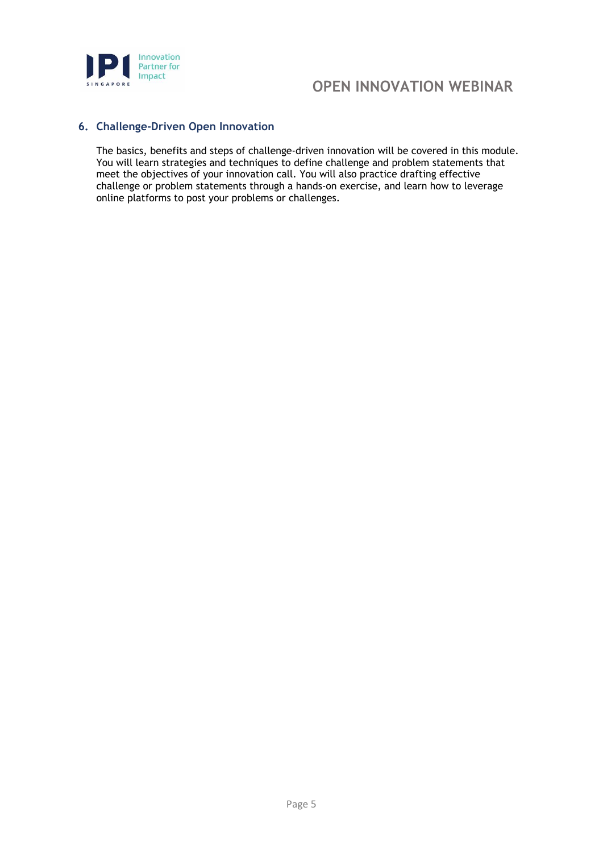

# **Partner for**<br> **Partner for**<br> **COPEN INNOVATION WEBINAR**

#### **6. Challenge-Driven Open Innovation**

The basics, benefits and steps of challenge-driven innovation will be covered in this module. You will learn strategies and techniques to define challenge and problem statements that meet the objectives of your innovation call. You will also practice drafting effective challenge or problem statements through a hands-on exercise, and learn how to leverage online platforms to post your problems or challenges.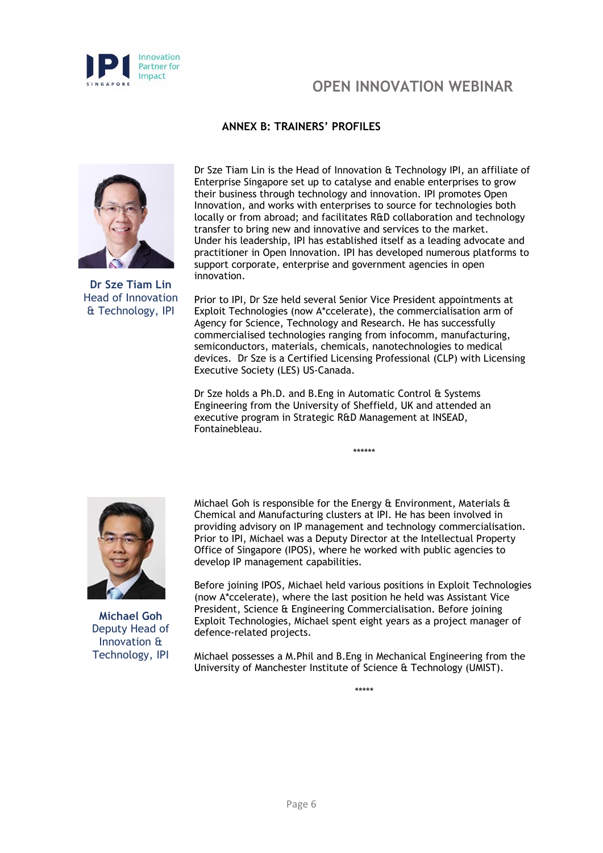

# **ANNEX B: TRAINERS' PROFILES**



**Dr Sze Tiam Lin** Head of Innovation & Technology, IPI

Dr Sze Tiam Lin is the Head of Innovation & Technology IPI, an affiliate of Enterprise Singapore set up to catalyse and enable enterprises to grow their business through technology and innovation. IPI promotes Open Innovation, and works with enterprises to source for technologies both locally or from abroad; and facilitates R&D collaboration and technology transfer to bring new and innovative and services to the market. Under his leadership, IPI has established itself as a leading advocate and practitioner in Open Innovation. IPI has developed numerous platforms to support corporate, enterprise and government agencies in open innovation.

Prior to IPI, Dr Sze held several Senior Vice President appointments at Exploit Technologies (now A\*ccelerate), the commercialisation arm of Agency for Science, Technology and Research. He has successfully commercialised technologies ranging from infocomm, manufacturing, semiconductors, materials, chemicals, nanotechnologies to medical devices. Dr Sze is a Certified Licensing Professional (CLP) with Licensing Executive Society (LES) US-Canada.

Dr Sze holds a Ph.D. and B.Eng in Automatic Control & Systems Engineering from the University of Sheffield, UK and attended an executive program in Strategic R&D Management at INSEAD, Fontainebleau.

**Michael Goh** Deputy Head of Innovation & Technology, IPI

Michael Goh is responsible for the Energy & Environment, Materials & Chemical and Manufacturing clusters at IPI. He has been involved in providing advisory on IP management and technology commercialisation. Prior to IPI, Michael was a Deputy Director at the Intellectual Property Office of Singapore (IPOS), where he worked with public agencies to develop IP management capabilities.

\*\*\*\*\*\*

Before joining IPOS, Michael held various positions in Exploit Technologies (now A\*ccelerate), where the last position he held was Assistant Vice President, Science & Engineering Commercialisation. Before joining Exploit Technologies, Michael spent eight years as a project manager of defence-related projects.

Michael possesses a M.Phil and B.Eng in Mechanical Engineering from the University of Manchester Institute of Science & Technology (UMIST).

\*\*\*\*\*